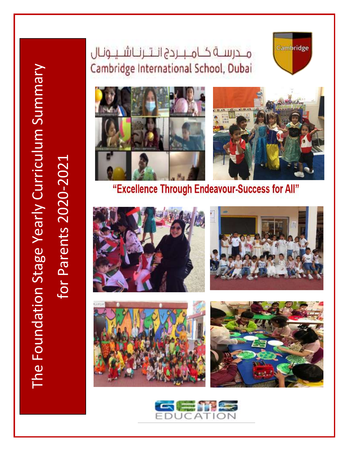### محرســة كــامــبــردج انــتــرنــاشــيــونـال Cambridge International School, Dubai





### "Excellence Through Endeavour-Success for All"









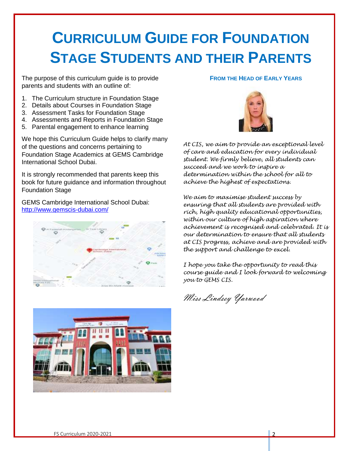## **CURRICULUM GUIDE FOR FOUNDATION STAGE STUDENTS AND THEIR PARENTS**

The purpose of this curriculum guide is to provide parents and students with an outline of:

- 1. The Curriculum structure in Foundation Stage
- 2. Details about Courses in Foundation Stage
- 3. Assessment Tasks for Foundation Stage
- 4. Assessments and Reports in Foundation Stage
- 5. Parental engagement to enhance learning

We hope this Curriculum Guide helps to clarify many of the questions and concerns pertaining to Foundation Stage Academics at GEMS Cambridge International School Dubai.

It is strongly recommended that parents keep this book for future guidance and information throughout Foundation Stage

GEMS Cambridge International School Dubai: <http://www.gemscis-dubai.com/>



#### **FROM THE HEAD OF EARLY YEARS**



*At CIS, we aim to provide an exceptional level of care and education for every individual student. We firmly believe, all students can succeed and we work to inspire a determination within the school for all to achieve the highest of expectations.*

*We aim to maximise student success by ensuring that all students are provided with rich, high quality educational opportunities, within our culture of high aspiration where achievement is recognised and celebrated. It is our determination to ensure that all students at CIS progress, achieve and are provided with the support and challenge to excel.*

*I hope you take the opportunity to read this course guide and I look forward to welcoming you to GEMS CIS.*

Miss Lindsey Yarwood

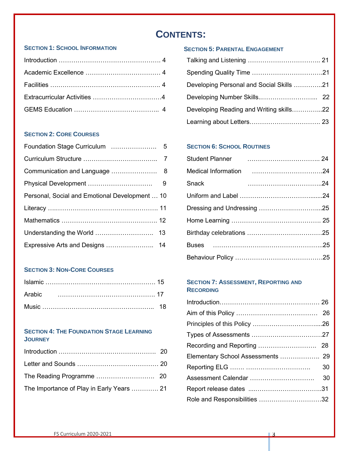### **CONTENTS:**

#### **SECTION 1: SCHOOL INFORMATION**

#### **SECTION 2: CORE COURSES**

| Personal, Social and Emotional Development  10 |  |
|------------------------------------------------|--|
|                                                |  |
|                                                |  |
|                                                |  |
|                                                |  |

#### **SECTION 3: NON-CORE COURSES**

#### **…………….. SECTION 4: THE FOUNDATION STAGE LEARNING JOURNEY**

| The Importance of Play in Early Years  21 |  |
|-------------------------------------------|--|

#### **<sup>S</sup>ECTION 5: <sup>P</sup>ARENTAL ENGAGEMENT**

| Developing Personal and Social Skills 21 |  |
|------------------------------------------|--|
|                                          |  |
| Developing Reading and Writing skills22  |  |
|                                          |  |

#### **SECTION 6: SCHOOL ROUTINES**

| Snack |  |
|-------|--|
|       |  |
|       |  |
|       |  |
|       |  |
|       |  |
|       |  |

#### **SECTION 7: ASSESSMENT, REPORTING AND RECORDING**

| Elementary School Assessments  29 |    |
|-----------------------------------|----|
|                                   | 30 |
|                                   |    |
|                                   |    |
| Role and Responsibilities 32      |    |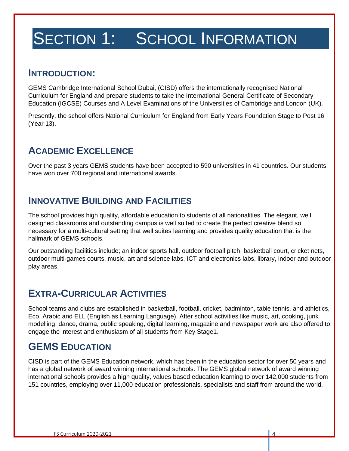# SECTION 1: SCHOOL INFORMATION

### **INTRODUCTION:**

GEMS Cambridge International School Dubai, (CISD) offers the internationally recognised National Curriculum for England and prepare students to take the International General Certificate of Secondary Education (IGCSE) Courses and A Level Examinations of the Universities of Cambridge and London (UK).

Presently, the school offers National Curriculum for England from Early Years Foundation Stage to Post 16 (Year 13).

### **ACADEMIC EXCELLENCE**

Over the past 3 years GEMS students have been accepted to 590 universities in 41 countries. Our students have won over 700 regional and international awards.

### **INNOVATIVE BUILDING AND FACILITIES**

The school provides high quality, affordable education to students of all nationalities. The elegant, well designed classrooms and outstanding campus is well suited to create the perfect creative blend so necessary for a multi-cultural setting that well suites learning and provides quality education that is the hallmark of GEMS schools.

Our outstanding facilities include; an indoor sports hall, outdoor football pitch, basketball court, cricket nets, outdoor multi-games courts, music, art and science labs, ICT and electronics labs, library, indoor and outdoor play areas.

### **EXTRA-CURRICULAR ACTIVITIES**

School teams and clubs are established in basketball, football, cricket, badminton, table tennis, and athletics, Eco, Arabic and ELL (English as Learning Language). After school activities like music, art, cooking, junk modelling, dance, drama, public speaking, digital learning, magazine and newspaper work are also offered to engage the interest and enthusiasm of all students from Key Stage1.

### **GEMS EDUCATION**

CISD is part of the GEMS Education network, which has been in the education sector for over 50 years and has a global network of award winning international schools. The GEMS global network of award winning international schools provides a high quality, values based education learning to over 142,000 students from 151 countries, employing over 11,000 education professionals, specialists and staff from around the world.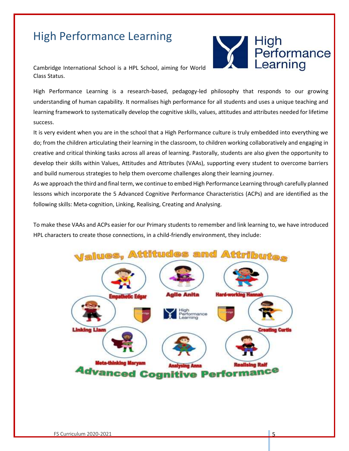### High Performance Learning

Performance Learning

Cambridge International School is a HPL School, aiming for World Class Status.

High Performance Learning is a research-based, pedagogy-led philosophy that responds to our growing understanding of human capability. It normalises high performance for all students and uses a unique teaching and learning framework to systematically develop the cognitive skills, values, attitudes and attributes needed for lifetime success.

It is very evident when you are in the school that a High Performance culture is truly embedded into everything we do; from the children articulating their learning in the classroom, to children working collaboratively and engaging in creative and critical thinking tasks across all areas of learning. Pastorally, students are also given the opportunity to develop their skills within Values, Attitudes and Attributes (VAAs), supporting every student to overcome barriers and build numerous strategies to help them overcome challenges along their learning journey.

As we approach the third and final term, we continue to embed High Performance Learning through carefully planned lessons which incorporate the 5 Advanced Cognitive Performance Characteristics (ACPs) and are identified as the following skills: Meta-cognition, Linking, Realising, Creating and Analysing.

To make these VAAs and ACPs easier for our Primary students to remember and link learning to, we have introduced HPL characters to create those connections, in a child-friendly environment, they include:

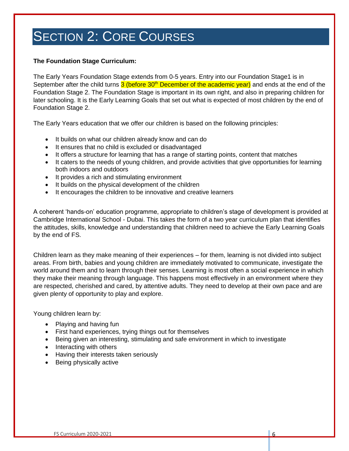#### **The Foundation Stage Curriculum:**

The Early Years Foundation Stage extends from 0-5 years. Entry into our Foundation Stage1 is in September after the child turns 3 (before 30<sup>th</sup> December of the academic year) and ends at the end of the Foundation Stage 2. The Foundation Stage is important in its own right, and also in preparing children for later schooling. It is the Early Learning Goals that set out what is expected of most children by the end of Foundation Stage 2.

The Early Years education that we offer our children is based on the following principles:

- It builds on what our children already know and can do
- It ensures that no child is excluded or disadvantaged
- It offers a structure for learning that has a range of starting points, content that matches
- It caters to the needs of young children, and provide activities that give opportunities for learning both indoors and outdoors
- It provides a rich and stimulating environment
- It builds on the physical development of the children
- It encourages the children to be innovative and creative learners

A coherent 'hands-on' education programme, appropriate to children's stage of development is provided at Cambridge International School - Dubai. This takes the form of a two year curriculum plan that identifies the attitudes, skills, knowledge and understanding that children need to achieve the Early Learning Goals by the end of FS.

Children learn as they make meaning of their experiences – for them, learning is not divided into subject areas. From birth, babies and young children are immediately motivated to communicate, investigate the world around them and to learn through their senses. Learning is most often a social experience in which they make their meaning through language. This happens most effectively in an environment where they are respected, cherished and cared, by attentive adults. They need to develop at their own pace and are given plenty of opportunity to play and explore.

Young children learn by:

- Playing and having fun
- First hand experiences, trying things out for themselves
- Being given an interesting, stimulating and safe environment in which to investigate
- Interacting with others
- Having their interests taken seriously
- Being physically active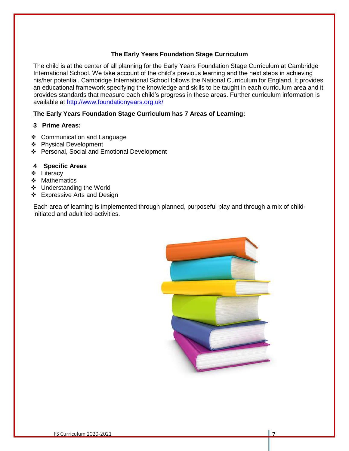#### **The Early Years Foundation Stage Curriculum**

The child is at the center of all planning for the Early Years Foundation Stage Curriculum at Cambridge International School. We take account of the child's previous learning and the next steps in achieving his/her potential. Cambridge International School follows the National Curriculum for England. It provides an educational framework specifying the knowledge and skills to be taught in each curriculum area and it provides standards that measure each child's progress in these areas. Further curriculum information is available at<http://www.foundationyears.org.uk/>

#### **The Early Years Foundation Stage Curriculum has 7 Areas of Learning:**

#### **3 Prime Areas:**

- ❖ Communication and Language
- ❖ Physical Development
- ❖ Personal, Social and Emotional Development

#### **4 Specific Areas**

- ❖ Literacy
- ❖ Mathematics
- ❖ Understanding the World
- ❖ Expressive Arts and Design

Each area of learning is implemented through planned, purposeful play and through a mix of childinitiated and adult led activities.

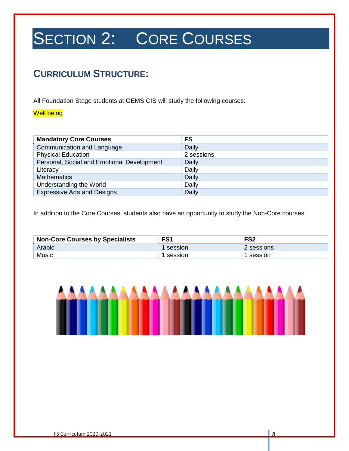### **CURRICULUM STRUCTURE:**

All Foundation Stage students at GEMS CIS will study the following courses:

#### Well being

| <b>Mandatory Core Courses</b>              | <b>FS</b>    |
|--------------------------------------------|--------------|
| Communication and Language                 | Daily        |
| <b>Physical Education</b>                  | 2 sessions   |
| Personal, Social and Emotional Development | <b>Daily</b> |
| Literacy                                   | Daily        |
| <b>Mathematics</b>                         | Daily        |
| Understanding the World                    | Daily        |
| <b>Expressive Arts and Designs</b>         | Daily        |

In addition to the Core Courses, students also have an opportunity to study the Non-Core courses:

| <b>Non-Core Courses by Specialists</b> | FS <sub>1</sub> | FS <sub>2</sub> |
|----------------------------------------|-----------------|-----------------|
| Arabic                                 | session         | 2 sessions      |
| <b>Music</b>                           | session         | session         |

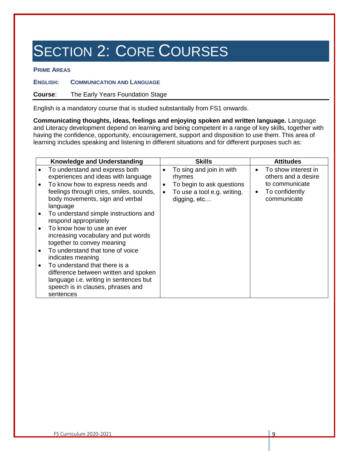#### **PRIME AREAS**

**ENGLISH: COMMUNICATION AND LANGUAGE** 

**Course**: The Early Years Foundation Stage

English is a mandatory course that is studied substantially from FS1 onwards.

**Communicating thoughts, ideas, feelings and enjoying spoken and written language.** Language and Literacy development depend on learning and being competent in a range of key skills, together with having the confidence, opportunity, encouragement, support and disposition to use them. This area of learning includes speaking and listening in different situations and for different purposes such as:

| Knowledge and Understanding                                                                                                                                        | <b>Skills</b>                                                                         | <b>Attitudes</b>                                             |
|--------------------------------------------------------------------------------------------------------------------------------------------------------------------|---------------------------------------------------------------------------------------|--------------------------------------------------------------|
| To understand and express both<br>experiences and ideas with language                                                                                              | To sing and join in with<br>$\bullet$<br>rhymes                                       | To show interest in<br>$\bullet$<br>others and a desire      |
| To know how to express needs and<br>feelings through cries, smiles, sounds,<br>body movements, sign and verbal<br>language                                         | To begin to ask questions<br>$\bullet$<br>To use a tool e.g. writing,<br>digging, etc | to communicate<br>To confidently<br>$\bullet$<br>communicate |
| To understand simple instructions and<br>respond appropriately                                                                                                     |                                                                                       |                                                              |
| To know how to use an ever<br>increasing vocabulary and put words<br>together to convey meaning                                                                    |                                                                                       |                                                              |
| To understand that tone of voice<br>indicates meaning                                                                                                              |                                                                                       |                                                              |
| To understand that there is a<br>difference between written and spoken<br>language i.e. writing in sentences but<br>speech is in clauses, phrases and<br>sentences |                                                                                       |                                                              |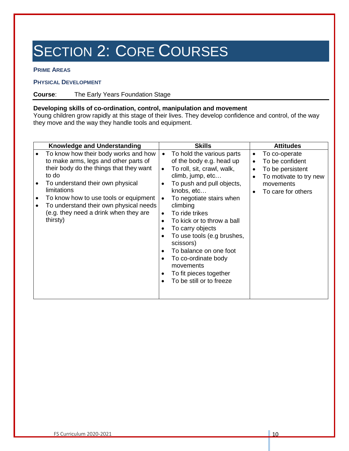#### **PRIME AREAS**

#### **PHYSICAL DEVELOPMENT**

**Course**: The Early Years Foundation Stage

#### **Developing skills of co-ordination, control, manipulation and movement**

Young children grow rapidly at this stage of their lives. They develop confidence and control, of the way they move and the way they handle tools and equipment.

| <b>Knowledge and Understanding</b>                                                                                                                                                                                                                                                                                           | Skills                                                                                                                                                                                                                                                                                                                                                                                                                                                               | <b>Attitudes</b>                                                                                                                         |
|------------------------------------------------------------------------------------------------------------------------------------------------------------------------------------------------------------------------------------------------------------------------------------------------------------------------------|----------------------------------------------------------------------------------------------------------------------------------------------------------------------------------------------------------------------------------------------------------------------------------------------------------------------------------------------------------------------------------------------------------------------------------------------------------------------|------------------------------------------------------------------------------------------------------------------------------------------|
| To know how their body works and how<br>to make arms, legs and other parts of<br>their body do the things that they want<br>to do<br>To understand their own physical<br>limitations<br>To know how to use tools or equipment<br>To understand their own physical needs<br>(e.g. they need a drink when they are<br>thirsty) | To hold the various parts<br>of the body e.g. head up<br>To roll, sit, crawl, walk,<br>$\bullet$<br>climb, jump, etc<br>To push and pull objects,<br>knobs, etc<br>To negotiate stairs when<br>climbing<br>To ride trikes<br>$\bullet$<br>To kick or to throw a ball<br>$\bullet$<br>To carry objects<br>To use tools (e.g brushes,<br>scissors)<br>To balance on one foot<br>To co-ordinate body<br>movements<br>To fit pieces together<br>To be still or to freeze | To co-operate<br>٠<br>To be confident<br>To be persistent<br>٠<br>To motivate to try new<br>movements<br>To care for others<br>$\bullet$ |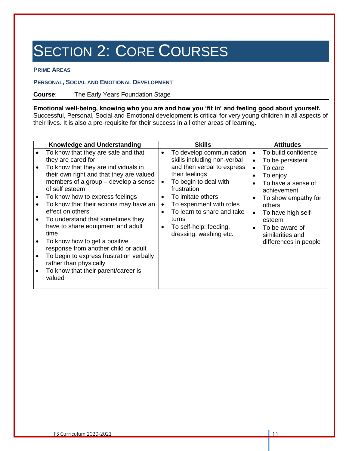#### **PRIME AREAS**

#### **PERSONAL, SOCIAL AND EMOTIONAL DEVELOPMENT**

#### **Course**: The Early Years Foundation Stage

**Emotional well-being, knowing who you are and how you 'fit in' and feeling good about yourself.**  Successful, Personal, Social and Emotional development is critical for very young children in all aspects of their lives. It is also a pre-requisite for their success in all other areas of learning.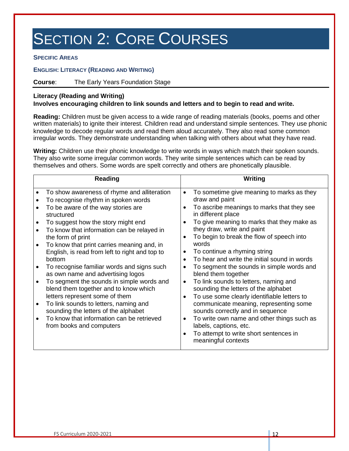**SPECIFIC AREAS**

#### **ENGLISH: LITERACY (READING AND WRITING)**

#### **Course**: The Early Years Foundation Stage

#### **Literacy (Reading and Writing)**

#### **Involves encouraging children to link sounds and letters and to begin to read and write.**

**Reading:** Children must be given access to a wide range of reading materials (books, poems and other written materials) to ignite their interest. Children read and understand simple sentences. They use phonic knowledge to decode regular words and read them aloud accurately. They also read some common irregular words. They demonstrate understanding when talking with others about what they have read.

**Writing:** Children use their phonic knowledge to write words in ways which match their spoken sounds. They also write some irregular common words. They write simple sentences which can be read by themselves and others. Some words are spelt correctly and others are phonetically plausible.

| <b>Reading</b>                                                                                                                                                                                                                                                                                                                                                                                                                                                                                                                                                                                                                                                                                                                      | Writing                                                                                                                                                                                                                                                                                                                                                                                                                                                                                                                                                                                                                                                                                                                                                                                                                                                                                                             |
|-------------------------------------------------------------------------------------------------------------------------------------------------------------------------------------------------------------------------------------------------------------------------------------------------------------------------------------------------------------------------------------------------------------------------------------------------------------------------------------------------------------------------------------------------------------------------------------------------------------------------------------------------------------------------------------------------------------------------------------|---------------------------------------------------------------------------------------------------------------------------------------------------------------------------------------------------------------------------------------------------------------------------------------------------------------------------------------------------------------------------------------------------------------------------------------------------------------------------------------------------------------------------------------------------------------------------------------------------------------------------------------------------------------------------------------------------------------------------------------------------------------------------------------------------------------------------------------------------------------------------------------------------------------------|
| To show awareness of rhyme and alliteration<br>٠<br>To recognise rhythm in spoken words<br>To be aware of the way stories are<br>structured<br>To suggest how the story might end<br>To know that information can be relayed in<br>the form of print<br>To know that print carries meaning and, in<br>English, is read from left to right and top to<br>bottom<br>To recognise familiar words and signs such<br>as own name and advertising logos<br>To segment the sounds in simple words and<br>blend them together and to know which<br>letters represent some of them<br>To link sounds to letters, naming and<br>sounding the letters of the alphabet<br>To know that information can be retrieved<br>from books and computers | To sometime give meaning to marks as they<br>$\bullet$<br>draw and paint<br>To ascribe meanings to marks that they see<br>$\bullet$<br>in different place<br>To give meaning to marks that they make as<br>$\bullet$<br>they draw, write and paint<br>To begin to break the flow of speech into<br>$\bullet$<br>words<br>To continue a rhyming string<br>٠<br>To hear and write the initial sound in words<br>$\bullet$<br>To segment the sounds in simple words and<br>$\bullet$<br>blend them together<br>To link sounds to letters, naming and<br>$\bullet$<br>sounding the letters of the alphabet<br>To use some clearly identifiable letters to<br>$\bullet$<br>communicate meaning, representing some<br>sounds correctly and in sequence<br>To write own name and other things such as<br>$\bullet$<br>labels, captions, etc.<br>To attempt to write short sentences in<br>$\bullet$<br>meaningful contexts |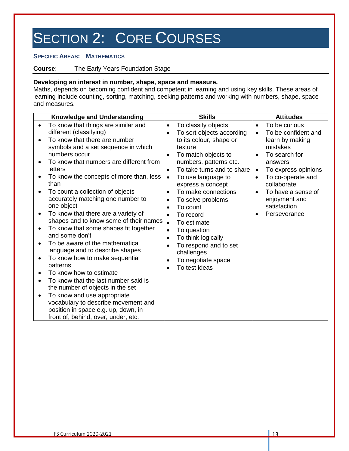#### **SPECIFIC AREAS: MATHEMATICS**

**Course**: The Early Years Foundation Stage

#### **Developing an interest in number, shape, space and measure.**

Maths, depends on becoming confident and competent in learning and using key skills. These areas of learning include counting, sorting, matching, seeking patterns and working with numbers, shape, space and measures.

| <b>Knowledge and Understanding</b>                                                                                                                                                                                                                                                                                                                                                                                                                                                                                                                                                                                                                                                                                                                                                                                                                                                              | <b>Skills</b>                                                                                                                                                                                                                                                                                                                                                                                                                                                                                                                             | <b>Attitudes</b>                                                                                                                                                                                                                                                         |
|-------------------------------------------------------------------------------------------------------------------------------------------------------------------------------------------------------------------------------------------------------------------------------------------------------------------------------------------------------------------------------------------------------------------------------------------------------------------------------------------------------------------------------------------------------------------------------------------------------------------------------------------------------------------------------------------------------------------------------------------------------------------------------------------------------------------------------------------------------------------------------------------------|-------------------------------------------------------------------------------------------------------------------------------------------------------------------------------------------------------------------------------------------------------------------------------------------------------------------------------------------------------------------------------------------------------------------------------------------------------------------------------------------------------------------------------------------|--------------------------------------------------------------------------------------------------------------------------------------------------------------------------------------------------------------------------------------------------------------------------|
| To know that things are similar and<br>$\bullet$<br>different (classifying)<br>To know that there are number<br>symbols and a set sequence in which<br>numbers occur<br>To know that numbers are different from<br>letters<br>To know the concepts of more than, less<br>than<br>To count a collection of objects<br>accurately matching one number to<br>one object<br>To know that there are a variety of<br>shapes and to know some of their names<br>To know that some shapes fit together<br>and some don't<br>To be aware of the mathematical<br>language and to describe shapes<br>To know how to make sequential<br>patterns<br>To know how to estimate<br>To know that the last number said is<br>the number of objects in the set<br>To know and use appropriate<br>vocabulary to describe movement and<br>position in space e.g. up, down, in<br>front of, behind, over, under, etc. | To classify objects<br>$\bullet$<br>To sort objects according<br>to its colour, shape or<br>texture<br>To match objects to<br>$\bullet$<br>numbers, patterns etc.<br>To take turns and to share<br>$\bullet$<br>To use language to<br>٠<br>express a concept<br>To make connections<br>$\bullet$<br>To solve problems<br>To count<br>To record<br>$\bullet$<br>To estimate<br>$\bullet$<br>To question<br>$\bullet$<br>To think logically<br>$\bullet$<br>To respond and to set<br>challenges<br>To negotiate space<br>٠<br>To test ideas | To be curious<br>$\bullet$<br>To be confident and<br>learn by making<br>mistakes<br>To search for<br>$\bullet$<br>answers<br>To express opinions<br>$\bullet$<br>To co-operate and<br>collaborate<br>To have a sense of<br>enjoyment and<br>satisfaction<br>Perseverance |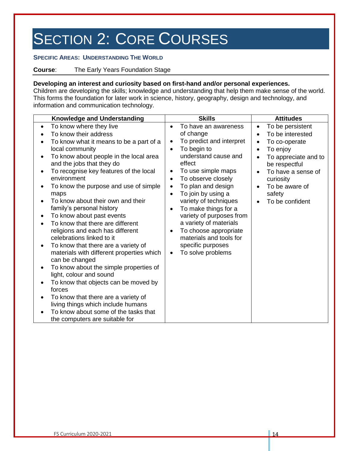#### **SPECIFIC AREAS: UNDERSTANDING THE WORLD**

#### **Course**: The Early Years Foundation Stage

#### **Developing an interest and curiosity based on first-hand and/or personal experiences.**

Children are developing the skills; knowledge and understanding that help them make sense of the world. This forms the foundation for later work in science, history, geography, design and technology, and information and communication technology.

| <b>Knowledge and Understanding</b>                                                                                                                                                                                                                                                                                                                                                                                                                                                                                                                                                                                                                                                                                                                                                                                                                                                                                     | <b>Skills</b>                                                                                                                                                                                                                                                                                                                                                                                                    | <b>Attitudes</b>                                                                                                                                                                                          |
|------------------------------------------------------------------------------------------------------------------------------------------------------------------------------------------------------------------------------------------------------------------------------------------------------------------------------------------------------------------------------------------------------------------------------------------------------------------------------------------------------------------------------------------------------------------------------------------------------------------------------------------------------------------------------------------------------------------------------------------------------------------------------------------------------------------------------------------------------------------------------------------------------------------------|------------------------------------------------------------------------------------------------------------------------------------------------------------------------------------------------------------------------------------------------------------------------------------------------------------------------------------------------------------------------------------------------------------------|-----------------------------------------------------------------------------------------------------------------------------------------------------------------------------------------------------------|
| To know where they live<br>$\bullet$<br>To know their address<br>To know what it means to be a part of a<br>local community<br>To know about people in the local area<br>and the jobs that they do<br>To recognise key features of the local<br>environment<br>To know the purpose and use of simple<br>maps<br>To know about their own and their<br>family's personal history<br>To know about past events<br>٠<br>To know that there are different<br>religions and each has different<br>celebrations linked to it<br>To know that there are a variety of<br>materials with different properties which<br>can be changed<br>To know about the simple properties of<br>$\bullet$<br>light, colour and sound<br>To know that objects can be moved by<br>forces<br>To know that there are a variety of<br>living things which include humans<br>To know about some of the tasks that<br>the computers are suitable for | To have an awareness<br>of change<br>To predict and interpret<br>To begin to<br>understand cause and<br>effect<br>To use simple maps<br>To observe closely<br>To plan and design<br>To join by using a<br>variety of techniques<br>To make things for a<br>variety of purposes from<br>a variety of materials<br>To choose appropriate<br>materials and tools for<br>specific purposes<br>To solve problems<br>٠ | To be persistent<br>$\bullet$<br>To be interested<br>To co-operate<br>To enjoy<br>To appreciate and to<br>be respectful<br>To have a sense of<br>curiosity<br>To be aware of<br>safety<br>To be confident |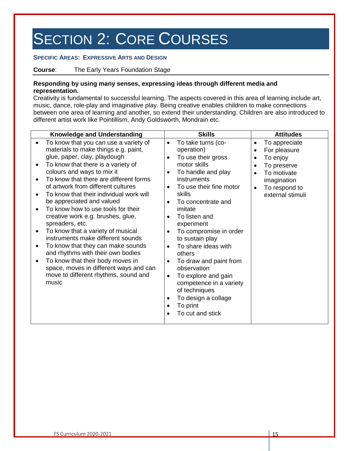#### **SPECIFIC AREAS: EXPRESSIVE ARTS AND DESIGN**

**Course**: The Early Years Foundation Stage

#### **Responding by using many senses, expressing ideas through different media and representation.**

Creativity is fundamental to successful learning. The aspects covered in this area of learning include art, music, dance, role-play and imaginative play. Being creative enables children to make connections between one area of learning and another, so extend their understanding. Children are also introduced to different artist work like Pointillism, Andy Goldsworth, Mondrain etc.

| <b>Knowledge and Understanding</b>                                                                                                                                                                                                                                                                                                                                                                                                                                                                                                                                                                                                                                                                                         | <b>Skills</b>                                                                                                                                                                                                                                                                                                                                                                                                                                                                                                                                                                                    | <b>Attitudes</b>                                                                                                                                                     |
|----------------------------------------------------------------------------------------------------------------------------------------------------------------------------------------------------------------------------------------------------------------------------------------------------------------------------------------------------------------------------------------------------------------------------------------------------------------------------------------------------------------------------------------------------------------------------------------------------------------------------------------------------------------------------------------------------------------------------|--------------------------------------------------------------------------------------------------------------------------------------------------------------------------------------------------------------------------------------------------------------------------------------------------------------------------------------------------------------------------------------------------------------------------------------------------------------------------------------------------------------------------------------------------------------------------------------------------|----------------------------------------------------------------------------------------------------------------------------------------------------------------------|
| To know that you can use a variety of<br>materials to make things e.g. paint,<br>glue, paper, clay, playdough<br>To know that there is a variety of<br>colours and ways to mix it<br>To know that there are different forms<br>of artwork from different cultures<br>To know that their individual work will<br>be appreciated and valued<br>To know how to use tools for their<br>creative work e.g. brushes, glue,<br>spreaders, etc.<br>To know that a variety of musical<br>instruments make different sounds<br>To know that they can make sounds<br>and rhythms with their own bodies<br>To know that their body moves in<br>space, moves in different ways and can<br>move to different rhythms, sound and<br>music | To take turns (co-<br>$\bullet$<br>operation)<br>To use their gross<br>$\bullet$<br>motor skills<br>To handle and play<br>٠<br>instruments<br>To use their fine motor<br>$\bullet$<br>skills<br>To concentrate and<br>$\bullet$<br>imitate<br>To listen and<br>$\bullet$<br>experiment<br>To compromise in order<br>$\bullet$<br>to sustain play<br>To share ideas with<br>$\bullet$<br>others<br>To draw and paint from<br>$\bullet$<br>observation<br>To explore and gain<br>$\bullet$<br>competence in a variety<br>of techniques<br>To design a collage<br>٠<br>To print<br>To cut and stick | To appreciate<br>٠<br>For pleasure<br>٠<br>To enjoy<br>٠<br>To preserve<br>To motivate<br>$\bullet$<br>imagination<br>To respond to<br>$\bullet$<br>external stimuli |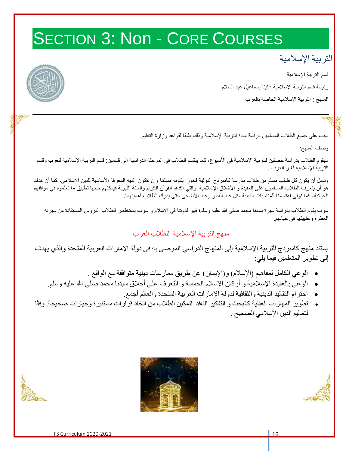# SECTION 3: Non - CORE COURSES

### التربية اإلسالمية

قسم التربية الإسلامية

رئيسة قسم التربية اإلسالمية : لينا إسماعيل عبد السالم

المنهج : التربية اإلسالمية الخاصة بالعرب

يجب على جميع الطالب المسلمين دراسة مادة التربية اإلسالمية وذلك طبقا لقواعد وزارة التعليم.

وصف المنهج:

سيقوم الطلاب بدراسة حصتين للتربية الإسلامية في الأسبوع، كما ينقسم الطلاب في المرحلة الدراسية إلى قسمين: قسم التربية الإسلامية للعرب وقسم التربية اإلسالمية لغير العرب .

ونأمل أن يكون كل طالب مسلم من طلاب مدرسة كامبردج الدولية فخورًا بكونه مسلمًا وأن تتكون لديه المعرفة الأساسية للدين الإسلامي، كما أن هدفنا هو أن يتعرف الطلاب المسلمون على العقيدة و الأخلاق الإسلامية والتي أكدها القرآن الكريم والسنة النبوية فيمكنهم حينها تطبيق ما تعلموه في مواقفهم الحياتية، كما نولى اهتمامنا للمناسبات الدينية مثل عيد الفطر وعيد األضحى حتى يدرك الطالب أهميتهما.

سوف يقوم الطلاب بدراسة سيرة سيدنا محمد صلى الله عليه وسلم؛ فهو قدوتنا في الإسلام و سوف يستخلص الطلاب الدروس المستفادة من سيرته العطرة وتطبيقها في حياتهم.

منهج التربية اإلسالمية للطالب العرب

يستند منهج كامبردج للتربية اإلسالمية إلى المنهاج الدراسي الموصى به في دولة اإلمارات العربية المتحدة والذي يهدف إلى تطوير المتعلمين فيما يلي:

- الوعي الكامل لمفاهيم )اإلسالم( و)اإليمان( عن طريق ممارسات دينية متوافقة مع الواقع .
- الوعي بالعقيدة اإلسالمية و أركان اإلسالم الخمسة و التعرف على أخالق سيدنا محمد صلى هللا عليه وسلم.
	- احترام التقاليد الدينية والثقافية لدولة اإلمارات العربية المتحدة والعالم أجمع.
- تطوير المهارات العقلية كالبحث و التفكير الناقد لتمكين الطالب من اتخاذ قرارات مستنيرة وخيارات صحيحة. وفق ا لتعاليم الدين اإلسالمي الصحيح .



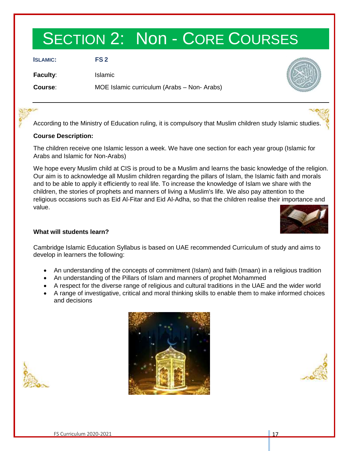## SECTION 2: Non - CORE COURSES

**ISLAMIC: FS 2**

**Faculty**: Islamic

**Course**: MOE Islamic curriculum (Arabs – Non- Arabs)



According to the Ministry of Education ruling, it is compulsory that Muslim children study Islamic studies.

#### **Course Description:**

The children receive one Islamic lesson a week. We have one section for each year group (Islamic for Arabs and Islamic for Non-Arabs)

We hope every Muslim child at CIS is proud to be a Muslim and learns the basic knowledge of the religion. Our aim is to acknowledge all Muslim children regarding the pillars of Islam, the Islamic faith and morals and to be able to apply it efficiently to real life. To increase the knowledge of Islam we share with the children, the stories of prophets and manners of living a Muslim's life. We also pay attention to the religious occasions such as Eid Al-Fitar and Eid Al-Adha, so that the children realise their importance and value.



#### **What will students learn?**

Cambridge Islamic Education Syllabus is based on UAE recommended Curriculum of study and aims to develop in learners the following:

- An understanding of the concepts of commitment (Islam) and faith (Imaan) in a religious tradition
- An understanding of the Pillars of Islam and manners of prophet Mohammed
- A respect for the diverse range of religious and cultural traditions in the UAE and the wider world
- A range of investigative, critical and moral thinking skills to enable them to make informed choices and decisions





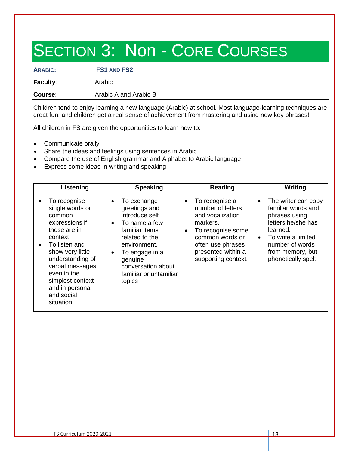# SECTION 3: Non - CORE COURSES

**ARABIC: FS1 AND FS2**

**Faculty:** Arabic

**Course:** Arabic A and Arabic B

Children tend to enjoy learning a new language (Arabic) at school. Most language-learning techniques are great fun, and children get a real sense of achievement from mastering and using new key phrases!

All children in FS are given the opportunities to learn how to:

- Communicate orally
- Share the ideas and feelings using sentences in Arabic
- Compare the use of English grammar and Alphabet to Arabic language
- Express some ideas in writing and speaking

| Listening                                                                                                                                                                                                                                                                     | <b>Speaking</b>                                                                                                                                                                                                                                   | Reading                                                                                                                                                                                    | Writing                                                                                                                                                                                                    |
|-------------------------------------------------------------------------------------------------------------------------------------------------------------------------------------------------------------------------------------------------------------------------------|---------------------------------------------------------------------------------------------------------------------------------------------------------------------------------------------------------------------------------------------------|--------------------------------------------------------------------------------------------------------------------------------------------------------------------------------------------|------------------------------------------------------------------------------------------------------------------------------------------------------------------------------------------------------------|
| To recognise<br>$\bullet$<br>single words or<br>common<br>expressions if<br>these are in<br>context<br>To listen and<br>$\bullet$<br>show very little<br>understanding of<br>verbal messages<br>even in the<br>simplest context<br>and in personal<br>and social<br>situation | To exchange<br>$\bullet$<br>greetings and<br>introduce self<br>To name a few<br>$\bullet$<br>familiar items<br>related to the<br>environment.<br>To engage in a<br>$\bullet$<br>genuine<br>conversation about<br>familiar or unfamiliar<br>topics | To recognise a<br>$\bullet$<br>number of letters<br>and vocalization<br>markers.<br>To recognise some<br>common words or<br>often use phrases<br>presented within a<br>supporting context. | The writer can copy<br>$\bullet$<br>familiar words and<br>phrases using<br>letters he/she has<br>learned.<br>To write a limited<br>$\bullet$<br>number of words<br>from memory, but<br>phonetically spelt. |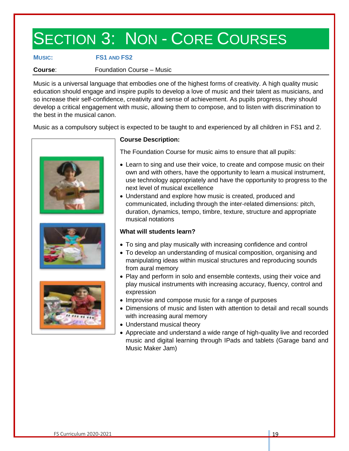## SECTION 3: NON - CORE COURSES

#### **MUSIC: FS1 AND FS2**

**Course:** Foundation Course – Music

Music is a universal language that embodies one of the highest forms of creativity. A high quality music education should engage and inspire pupils to develop a love of music and their talent as musicians, and so increase their self-confidence, creativity and sense of achievement. As pupils progress, they should develop a critical engagement with music, allowing them to compose, and to listen with discrimination to the best in the musical canon.

Music as a compulsory subject is expected to be taught to and experienced by all children in FS1 and 2.







#### **Course Description:**

The Foundation Course for music aims to ensure that all pupils:

- Learn to sing and use their voice, to create and compose music on their own and with others, have the opportunity to learn a musical instrument, use technology appropriately and have the opportunity to progress to the next level of musical excellence
- Understand and explore how music is created, produced and communicated, including through the inter-related dimensions: pitch, duration, dynamics, tempo, timbre, texture, structure and appropriate musical notations

#### **What will students learn?**

- To sing and play musically with increasing confidence and control
- To develop an understanding of musical composition, organising and manipulating ideas within musical structures and reproducing sounds from aural memory
- Play and perform in solo and ensemble contexts, using their voice and play musical instruments with increasing accuracy, fluency, control and expression
- Improvise and compose music for a range of purposes
- Dimensions of music and listen with attention to detail and recall sounds with increasing aural memory
- Understand musical theory
- Appreciate and understand a wide range of high-quality live and recorded music and digital learning through IPads and tablets (Garage band and Music Maker Jam)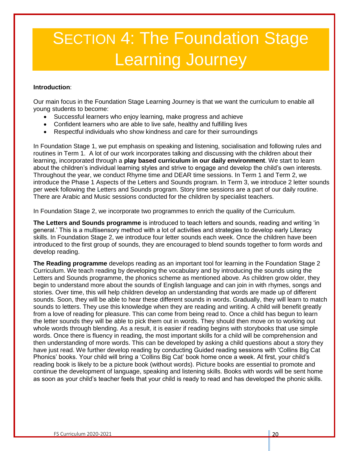# **SECTION 4: The Foundation Stage** Learning Journey

#### **Introduction**:

Our main focus in the Foundation Stage Learning Journey is that we want the curriculum to enable all young students to become:

- Successful learners who enjoy learning, make progress and achieve
- Confident learners who are able to live safe, healthy and fulfilling lives
- Respectful individuals who show kindness and care for their surroundings

In Foundation Stage 1, we put emphasis on speaking and listening, socialisation and following rules and routines in Term 1. A lot of our work incorporates talking and discussing with the children about their learning, incorporated through a **play based curriculum in our daily environment**. We start to learn about the children's individual learning styles and strive to engage and develop the child's own interests. Throughout the year, we conduct Rhyme time and DEAR time sessions. In Term 1 and Term 2, we introduce the Phase 1 Aspects of the Letters and Sounds program. In Term 3, we introduce 2 letter sounds per week following the Letters and Sounds program. Story time sessions are a part of our daily routine. There are Arabic and Music sessions conducted for the children by specialist teachers.

In Foundation Stage 2, we incorporate two programmes to enrich the quality of the Curriculum.

**The Letters and Sounds programme** is introduced to teach letters and sounds, reading and writing 'in general.' This is a multisensory method with a lot of activities and strategies to develop early Literacy skills. In Foundation Stage 2, we introduce four letter sounds each week. Once the children have been introduced to the first group of sounds, they are encouraged to blend sounds together to form words and develop reading.

**The Reading programme** develops reading as an important tool for learning in the Foundation Stage 2 Curriculum. We teach reading by developing the vocabulary and by introducing the sounds using the Letters and Sounds programme, the phonics scheme as mentioned above. As children grow older, they begin to understand more about the sounds of English language and can join in with rhymes, songs and stories. Over time, this will help children develop an understanding that words are made up of different sounds. Soon, they will be able to hear these different sounds in words. Gradually, they will learn to match sounds to letters. They use this knowledge when they are reading and writing. A child will benefit greatly from a love of reading for pleasure. This can come from being read to. Once a child has begun to learn the letter sounds they will be able to pick them out in words. They should then move on to working out whole words through blending. As a result, it is easier if reading begins with storybooks that use simple words. Once there is fluency in reading, the most important skills for a child will be comprehension and then understanding of more words. This can be developed by asking a child questions about a story they have just read. We further develop reading by conducting Guided reading sessions with 'Collins Big Cat Phonics' books. Your child will bring a 'Collins Big Cat' book home once a week. At first, your child's reading book is likely to be a picture book (without words). Picture books are essential to promote and continue the development of language, speaking and listening skills. Books with words will be sent home as soon as your child's teacher feels that your child is ready to read and has developed the phonic skills.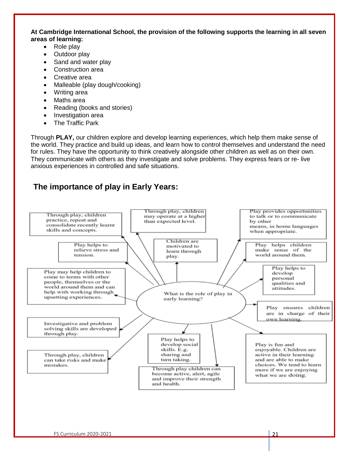#### **At Cambridge International School, the provision of the following supports the learning in all seven areas of learning:**

- Role play
- Outdoor play
- Sand and water play
- Construction area
- Creative area
- Malleable (play dough/cooking)
- Writing area
- Maths area
- Reading (books and stories)
- Investigation area
- The Traffic Park

Through **PLAY,** our children explore and develop learning experiences, which help them make sense of the world. They practice and build up ideas, and learn how to control themselves and understand the need for rules. They have the opportunity to think creatively alongside other children as well as on their own. They communicate with others as they investigate and solve problems. They express fears or re- live anxious experiences in controlled and safe situations.

#### **The importance of play in Early Years:**

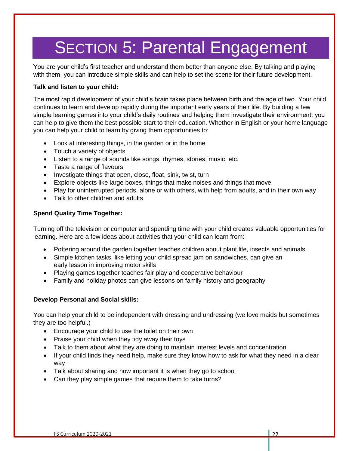## **SECTION 5: Parental Engagement**

You are your child's first teacher and understand them better than anyone else. By talking and playing with them, you can introduce simple skills and can help to set the scene for their future development.

#### **Talk and listen to your child:**

The most rapid development of your child's brain takes place between birth and the age of two. Your child continues to learn and develop rapidly during the important early years of their life. By building a few simple learning games into your child's daily routines and helping them investigate their environment; you can help to give them the best possible start to their education. Whether in English or your home language you can help your child to learn by giving them opportunities to:

- Look at interesting things, in the garden or in the home
- Touch a variety of objects
- Listen to a range of sounds like songs, rhymes, stories, music, etc.
- Taste a range of flavours
- Investigate things that open, close, float, sink, twist, turn
- Explore objects like large boxes, things that make noises and things that move
- Play for uninterrupted periods, alone or with others, with help from adults, and in their own way
- Talk to other children and adults

#### **Spend Quality Time Together:**

Turning off the television or computer and spending time with your child creates valuable opportunities for learning. Here are a few ideas about activities that your child can learn from:

- Pottering around the garden together teaches children about plant life, insects and animals
- Simple kitchen tasks, like letting your child spread jam on sandwiches, can give an early lesson in improving motor skills
- Playing games together teaches fair play and cooperative behaviour
- Family and holiday photos can give lessons on family history and geography

#### **Develop Personal and Social skills:**

You can help your child to be independent with dressing and undressing (we love maids but sometimes they are too helpful.)

- Encourage your child to use the toilet on their own
- Praise your child when they tidy away their toys
- Talk to them about what they are doing to maintain interest levels and concentration
- If your child finds they need help, make sure they know how to ask for what they need in a clear way
- Talk about sharing and how important it is when they go to school
- Can they play simple games that require them to take turns?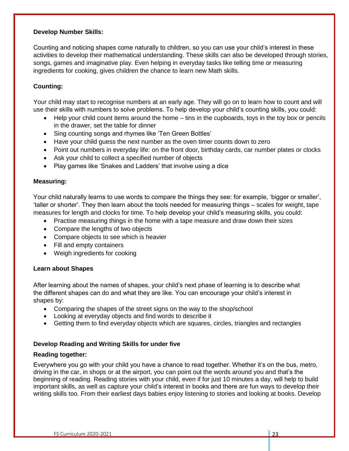#### **Develop Number Skills:**

Counting and noticing shapes come naturally to children, so you can use your child's interest in these activities to develop their mathematical understanding. These skills can also be developed through stories, songs, games and imaginative play. Even helping in everyday tasks like telling time or measuring ingredients for cooking, gives children the chance to learn new Math skills.

#### **Counting:**

Your child may start to recognise numbers at an early age. They will go on to learn how to count and will use their skills with numbers to solve problems. To help develop your child's counting skills, you could:

- Help your child count items around the home tins in the cupboards, toys in the toy box or pencils in the drawer, set the table for dinner
- Sing counting songs and rhymes like 'Ten Green Bottles'
- Have your child guess the next number as the oven timer counts down to zero
- Point out numbers in everyday life: on the front door, birthday cards, car number plates or clocks
- Ask your child to collect a specified number of objects
- Play games like 'Snakes and Ladders' that involve using a dice

#### **Measuring:**

Your child naturally learns to use words to compare the things they see: for example, 'bigger or smaller', 'taller or shorter'. They then learn about the tools needed for measuring things – scales for weight, tape measures for length and clocks for time. To help develop your child's measuring skills, you could:

- Practise measuring things in the home with a tape measure and draw down their sizes
- Compare the lengths of two objects
- Compare objects to see which is heavier
- Fill and empty containers
- Weigh ingredients for cooking

#### **Learn about Shapes**

After learning about the names of shapes, your child's next phase of learning is to describe what the different shapes can do and what they are like. You can encourage your child's interest in shapes by:

- Comparing the shapes of the street signs on the way to the shop/school
- Looking at everyday objects and find words to describe it
- Getting them to find everyday objects which are squares, circles, triangles and rectangles

#### **Develop Reading and Writing Skills for under five**

#### **Reading together:**

Everywhere you go with your child you have a chance to read together. Whether it's on the bus, metro, driving in the car, in shops or at the airport, you can point out the words around you and that's the beginning of reading. Reading stories with your child, even if for just 10 minutes a day, will help to build important skills, as well as capture your child's interest in books and there are fun ways to develop their writing skills too. From their earliest days babies enjoy listening to stories and looking at books. Develop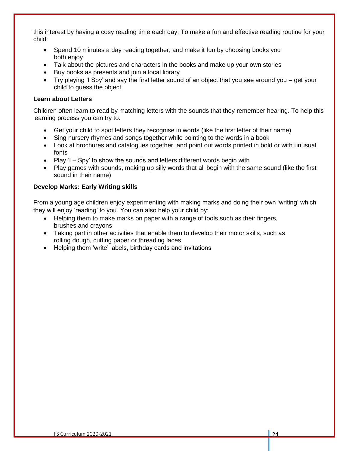this interest by having a cosy reading time each day. To make a fun and effective reading routine for your child:

- Spend 10 minutes a day reading together, and make it fun by choosing books you both enjoy
- Talk about the pictures and characters in the books and make up your own stories
- Buy books as presents and join a local library
- Try playing 'I Spy' and say the first letter sound of an object that you see around you get your child to guess the object

#### **Learn about Letters**

Children often learn to read by matching letters with the sounds that they remember hearing. To help this learning process you can try to:

- Get your child to spot letters they recognise in words (like the first letter of their name)
- Sing nursery rhymes and songs together while pointing to the words in a book
- Look at brochures and catalogues together, and point out words printed in bold or with unusual fonts
- Play 'I Spy' to show the sounds and letters different words begin with
- Play games with sounds, making up silly words that all begin with the same sound (like the first sound in their name)

#### **Develop Marks: Early Writing skills**

From a young age children enjoy experimenting with making marks and doing their own 'writing' which they will enjoy 'reading' to you. You can also help your child by:

- Helping them to make marks on paper with a range of tools such as their fingers, brushes and crayons
- Taking part in other activities that enable them to develop their motor skills, such as rolling dough, cutting paper or threading laces
- Helping them 'write' labels, birthday cards and invitations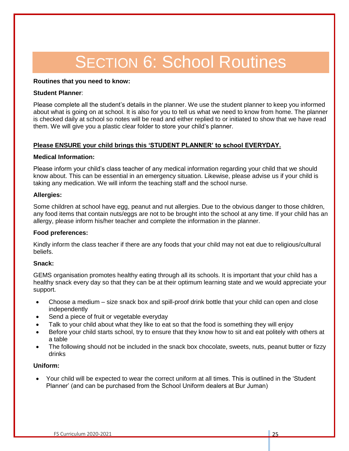## **SECTION 6: School Routines**

#### **Routines that you need to know:**

#### **Student Planner**:

Please complete all the student's details in the planner. We use the student planner to keep you informed about what is going on at school. It is also for you to tell us what we need to know from home. The planner is checked daily at school so notes will be read and either replied to or initiated to show that we have read them. We will give you a plastic clear folder to store your child's planner.

#### **Please ENSURE your child brings this 'STUDENT PLANNER' to school EVERYDAY.**

#### **Medical Information:**

Please inform your child's class teacher of any medical information regarding your child that we should know about. This can be essential in an emergency situation. Likewise, please advise us if your child is taking any medication. We will inform the teaching staff and the school nurse.

#### **Allergies:**

Some children at school have egg, peanut and nut allergies. Due to the obvious danger to those children, any food items that contain nuts/eggs are not to be brought into the school at any time. If your child has an allergy, please inform his/her teacher and complete the information in the planner.

#### **Food preferences:**

Kindly inform the class teacher if there are any foods that your child may not eat due to religious/cultural beliefs.

#### **Snack:**

GEMS organisation promotes healthy eating through all its schools. It is important that your child has a healthy snack every day so that they can be at their optimum learning state and we would appreciate your support.

- Choose a medium size snack box and spill-proof drink bottle that your child can open and close independently
- Send a piece of fruit or vegetable everyday
- Talk to your child about what they like to eat so that the food is something they will enjoy
- Before your child starts school, try to ensure that they know how to sit and eat politely with others at a table
- The following should not be included in the snack box chocolate, sweets, nuts, peanut butter or fizzy drinks

#### **Uniform:**

• Your child will be expected to wear the correct uniform at all times. This is outlined in the 'Student Planner' (and can be purchased from the School Uniform dealers at Bur Juman)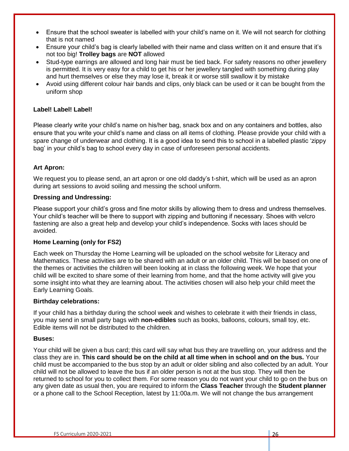- Ensure that the school sweater is labelled with your child's name on it. We will not search for clothing that is not named
- Ensure your child's bag is clearly labelled with their name and class written on it and ensure that it's not too big! **Trolley bags** are **NOT** allowed
- Stud-type earrings are allowed and long hair must be tied back. For safety reasons no other jewellery is permitted. It is very easy for a child to get his or her jewellery tangled with something during play and hurt themselves or else they may lose it, break it or worse still swallow it by mistake
- Avoid using different colour hair bands and clips, only black can be used or it can be bought from the uniform shop

#### **Label! Label! Label!**

Please clearly write your child's name on his/her bag, snack box and on any containers and bottles, also ensure that you write your child's name and class on all items of clothing. Please provide your child with a spare change of underwear and clothing. It is a good idea to send this to school in a labelled plastic 'zippy bag' in your child's bag to school every day in case of unforeseen personal accidents.

#### **Art Apron:**

We request you to please send, an art apron or one old daddy's t-shirt, which will be used as an apron during art sessions to avoid soiling and messing the school uniform.

#### **Dressing and Undressing:**

Please support your child's gross and fine motor skills by allowing them to dress and undress themselves. Your child's teacher will be there to support with zipping and buttoning if necessary. Shoes with velcro fastening are also a great help and develop your child's independence. Socks with laces should be avoided.

#### **Home Learning (only for FS2)**

Each week on Thursday the Home Learning will be uploaded on the school website for Literacy and Mathematics. These activities are to be shared with an adult or an older child. This will be based on one of the themes or activities the children will been looking at in class the following week. We hope that your child will be excited to share some of their learning from home, and that the home activity will give you some insight into what they are learning about. The activities chosen will also help your child meet the Early Learning Goals.

#### **Birthday celebrations:**

If your child has a birthday during the school week and wishes to celebrate it with their friends in class, you may send in small party bags with **non-edibles** such as books, balloons, colours, small toy, etc. Edible items will not be distributed to the children.

#### **Buses:**

Your child will be given a bus card; this card will say what bus they are travelling on, your address and the class they are in. **This card should be on the child at all time when in school and on the bus.** Your child must be accompanied to the bus stop by an adult or older sibling and also collected by an adult. Your child will not be allowed to leave the bus if an older person is not at the bus stop. They will then be returned to school for you to collect them. For some reason you do not want your child to go on the bus on any given date as usual then, you are required to inform the **Class Teacher** through the **Student planner** or a phone call to the School Reception, latest by 11:00a.m. We will not change the bus arrangement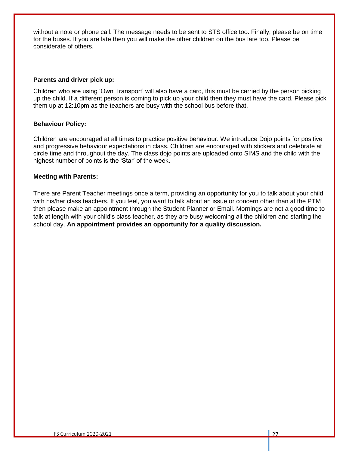without a note or phone call. The message needs to be sent to STS office too. Finally, please be on time for the buses. If you are late then you will make the other children on the bus late too. Please be considerate of others.

#### **Parents and driver pick up:**

Children who are using 'Own Transport' will also have a card, this must be carried by the person picking up the child. If a different person is coming to pick up your child then they must have the card. Please pick them up at 12:10pm as the teachers are busy with the school bus before that.

#### **Behaviour Policy:**

Children are encouraged at all times to practice positive behaviour. We introduce Dojo points for positive and progressive behaviour expectations in class. Children are encouraged with stickers and celebrate at circle time and throughout the day. The class dojo points are uploaded onto SIMS and the child with the highest number of points is the 'Star' of the week.

#### **Meeting with Parents:**

There are Parent Teacher meetings once a term, providing an opportunity for you to talk about your child with his/her class teachers. If you feel, you want to talk about an issue or concern other than at the PTM then please make an appointment through the Student Planner or Email. Mornings are not a good time to talk at length with your child's class teacher, as they are busy welcoming all the children and starting the school day. **An appointment provides an opportunity for a quality discussion.**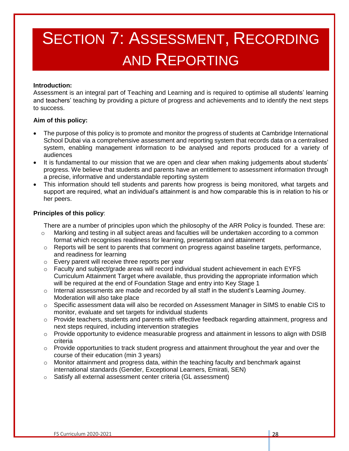# SECTION 7: ASSESSMENT, RECORDING AND REPORTING

#### **Introduction:**

Assessment is an integral part of Teaching and Learning and is required to optimise all students' learning and teachers' teaching by providing a picture of progress and achievements and to identify the next steps to success.

#### **Aim of this policy:**

- The purpose of this policy is to promote and monitor the progress of students at Cambridge International School Dubai via a comprehensive assessment and reporting system that records data on a centralised system, enabling management information to be analysed and reports produced for a variety of audiences
- It is fundamental to our mission that we are open and clear when making judgements about students' progress. We believe that students and parents have an entitlement to assessment information through a precise, informative and understandable reporting system
- This information should tell students and parents how progress is being monitored, what targets and support are required, what an individual's attainment is and how comparable this is in relation to his or her peers.

#### **Principles of this policy**:

There are a number of principles upon which the philosophy of the ARR Policy is founded. These are:

- Marking and testing in all subject areas and faculties will be undertaken according to a common format which recognises readiness for learning, presentation and attainment
- $\circ$  Reports will be sent to parents that comment on progress against baseline targets, performance, and readiness for learning
- o Every parent will receive three reports per year
- $\circ$  Faculty and subject/grade areas will record individual student achievement in each EYFS Curriculum Attainment Target where available, thus providing the appropriate information which will be required at the end of Foundation Stage and entry into Key Stage 1
- $\circ$  Internal assessments are made and recorded by all staff in the student's Learning Journey. Moderation will also take place
- o Specific assessment data will also be recorded on Assessment Manager in SIMS to enable CIS to monitor, evaluate and set targets for individual students
- o Provide teachers, students and parents with effective feedback regarding attainment, progress and next steps required, including intervention strategies
- $\circ$  Provide opportunity to evidence measurable progress and attainment in lessons to align with DSIB criteria
- $\circ$  Provide opportunities to track student progress and attainment throughout the year and over the course of their education (min 3 years)
- $\circ$  Monitor attainment and progress data, within the teaching faculty and benchmark against international standards (Gender, Exceptional Learners, Emirati, SEN)
- o Satisfy all external assessment center criteria (GL assessment)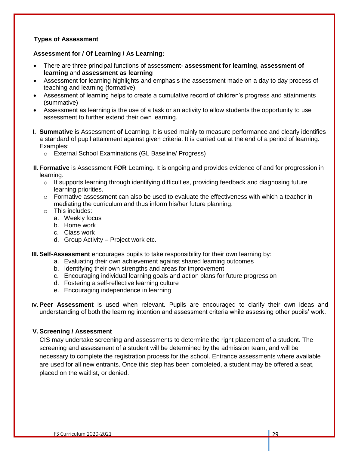#### **Types of Assessment**

#### **Assessment for / Of Learning / As Learning:**

- There are three principal functions of assessment- **assessment for learning**, **assessment of learning** and **assessment as learning**
- Assessment for learning highlights and emphasis the assessment made on a day to day process of teaching and learning (formative)
- Assessment of learning helps to create a cumulative record of children's progress and attainments (summative)
- Assessment as learning is the use of a task or an activity to allow students the opportunity to use assessment to further extend their own learning.
- **I. Summative** is Assessment **of** Learning. It is used mainly to measure performance and clearly identifies a standard of pupil attainment against given criteria. It is carried out at the end of a period of learning. Examples:
	- o External School Examinations (GL Baseline/ Progress)

**II. Formative** is Assessment **FOR** Learning. It is ongoing and provides evidence of and for progression in learning.

- $\circ$  It supports learning through identifying difficulties, providing feedback and diagnosing future learning priorities.
- $\circ$  Formative assessment can also be used to evaluate the effectiveness with which a teacher in mediating the curriculum and thus inform his/her future planning.
- o This includes:
	- a. Weekly focus
	- b. Home work
	- c. Class work
	- d. Group Activity Project work etc.

**III.Self-Assessment** encourages pupils to take responsibility for their own learning by:

- a. Evaluating their own achievement against shared learning outcomes
- b. Identifying their own strengths and areas for improvement
- c. Encouraging individual learning goals and action plans for future progression
- d. Fostering a self-reflective learning culture
- e. Encouraging independence in learning

**IV. Peer Assessment** is used when relevant. Pupils are encouraged to clarify their own ideas and understanding of both the learning intention and assessment criteria while assessing other pupils' work.

#### **V. Screening / Assessment**

CIS may undertake screening and assessments to determine the right placement of a student. The screening and assessment of a student will be determined by the admission team, and will be necessary to complete the registration process for the school. Entrance assessments where available are used for all new entrants. Once this step has been completed, a student may be offered a seat, placed on the waitlist, or denied.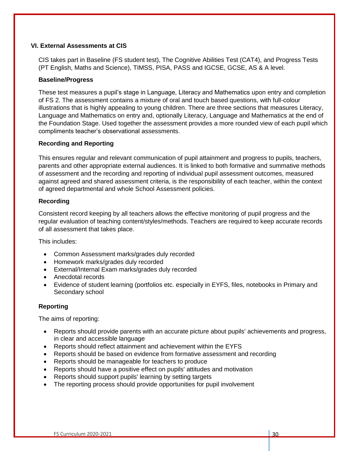#### **VI. External Assessments at CIS**

CIS takes part in Baseline (FS student test), The Cognitive Abilities Test (CAT4), and Progress Tests (PT English, Maths and Science), TIMSS, PISA, PASS and IGCSE, GCSE, AS & A level.

#### **Baseline/Progress**

These test measures a pupil's stage in Language, Literacy and Mathematics upon entry and completion of FS 2. The assessment contains a mixture of oral and touch based questions, with full-colour illustrations that is highly appealing to young children. There are three sections that measures Literacy, Language and Mathematics on entry and, optionally Literacy, Language and Mathematics at the end of the Foundation Stage. Used together the assessment provides a more rounded view of each pupil which compliments teacher's observational assessments.

#### **Recording and Reporting**

This ensures regular and relevant communication of pupil attainment and progress to pupils, teachers, parents and other appropriate external audiences. It is linked to both formative and summative methods of assessment and the recording and reporting of individual pupil assessment outcomes, measured against agreed and shared assessment criteria, is the responsibility of each teacher, within the context of agreed departmental and whole School Assessment policies.

#### **Recording**

Consistent record keeping by all teachers allows the effective monitoring of pupil progress and the regular evaluation of teaching content/styles/methods. Teachers are required to keep accurate records of all assessment that takes place.

This includes:

- Common Assessment marks/grades duly recorded
- Homework marks/grades duly recorded
- External/Internal Exam marks/grades duly recorded
- Anecdotal records
- Evidence of student learning (portfolios etc. especially in EYFS, files, notebooks in Primary and Secondary school

#### **Reporting**

The aims of reporting:

- Reports should provide parents with an accurate picture about pupils' achievements and progress, in clear and accessible language
- Reports should reflect attainment and achievement within the EYFS
- Reports should be based on evidence from formative assessment and recording
- Reports should be manageable for teachers to produce
- Reports should have a positive effect on pupils' attitudes and motivation
- Reports should support pupils' learning by setting targets
- The reporting process should provide opportunities for pupil involvement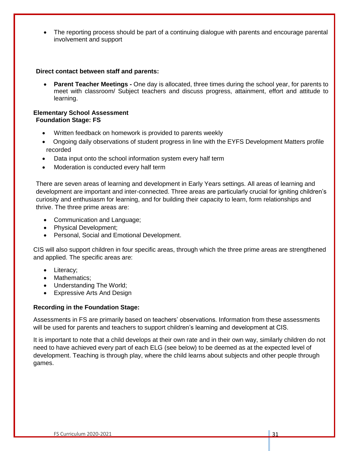• The reporting process should be part of a continuing dialogue with parents and encourage parental involvement and support

#### **Direct contact between staff and parents:**

• **Parent Teacher Meetings -** One day is allocated, three times during the school year, for parents to meet with classroom/ Subject teachers and discuss progress, attainment, effort and attitude to learning.

#### **Elementary School Assessment Foundation Stage: FS**

- Written feedback on homework is provided to parents weekly
- Ongoing daily observations of student progress in line with the EYFS Development Matters profile recorded
- Data input onto the school information system every half term
- Moderation is conducted every half term

There are seven areas of learning and development in Early Years settings. All areas of learning and development are important and inter-connected. Three areas are particularly crucial for igniting children's curiosity and enthusiasm for learning, and for building their capacity to learn, form relationships and thrive. The three prime areas are:

- Communication and Language;
- Physical Development;
- Personal, Social and Emotional Development.

CIS will also support children in four specific areas, through which the three prime areas are strengthened and applied. The specific areas are:

- Literacy;
- Mathematics;
- Understanding The World;
- Expressive Arts And Design

#### **Recording in the Foundation Stage:**

Assessments in FS are primarily based on teachers' observations. Information from these assessments will be used for parents and teachers to support children's learning and development at CIS.

It is important to note that a child develops at their own rate and in their own way, similarly children do not need to have achieved every part of each ELG (see below) to be deemed as at the expected level of development. Teaching is through play, where the child learns about subjects and other people through games.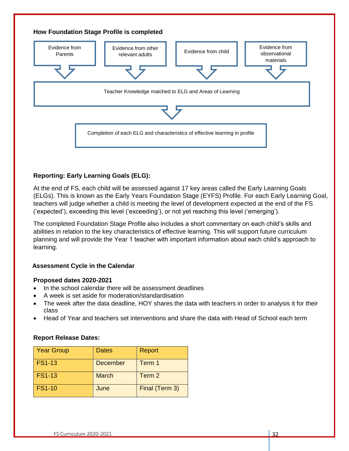

#### **Reporting: Early Learning Goals (ELG):**

At the end of FS, each child will be assessed against 17 key areas called the Early Learning Goals (ELGs). This is known as the Early Years Foundation Stage (EYFS) Profile. For each Early Learning Goal, teachers will judge whether a child is meeting the level of development expected at the end of the FS ('expected'), exceeding this level ('exceeding'), or not yet reaching this level ('emerging').

The completed Foundation Stage Profile also includes a short commentary on each child's skills and abilities in relation to the key characteristics of effective learning. This will support future curriculum planning and will provide the Year 1 teacher with important information about each child's approach to learning.

#### **Assessment Cycle in the Calendar**

#### **Proposed dates 2020-2021**

- In the school calendar there will be assessment deadlines
- A week is set aside for moderation/standardisation
- The week after the data deadline, HOY shares the data with teachers in order to analysis it for their class
- Head of Year and teachers set interventions and share the data with Head of School each term

#### **Report Release Dates:**

| <b>Year Group</b> | <b>Dates</b>    | Report         |
|-------------------|-----------------|----------------|
| <b>FS1-13</b>     | <b>December</b> | Term 1         |
| <b>FS1-13</b>     | <b>March</b>    | Term 2         |
| <b>FS1-10</b>     | June            | Final (Term 3) |